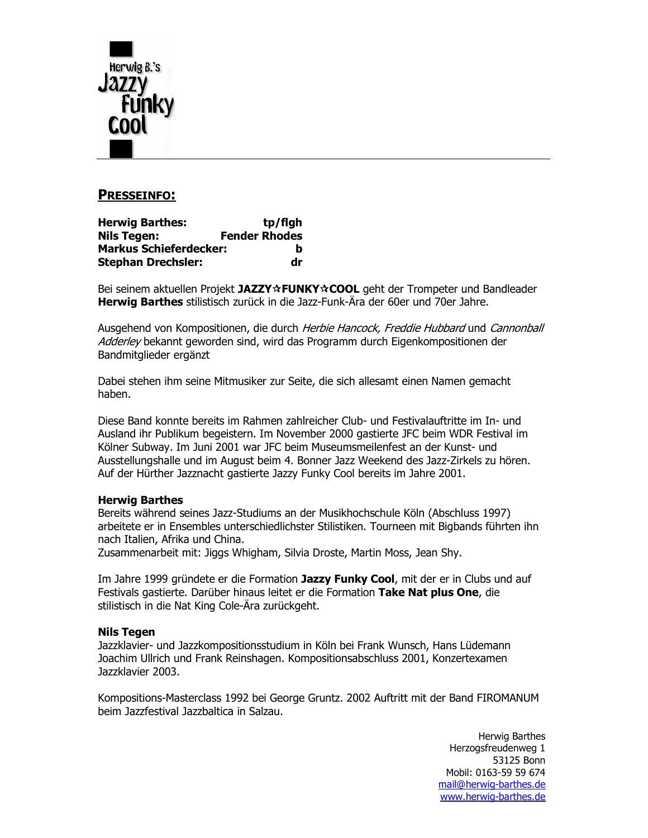

# **PRESSEINFO:**

| <b>Herwig Barthes:</b>        | tp/flgh              |
|-------------------------------|----------------------|
| Nils Tegen:                   | <b>Fender Rhodes</b> |
| <b>Markus Schieferdecker:</b> | b                    |
| Stephan Drechsler:            | dr                   |

Bei seinem aktuellen Projekt JAZZY☆FUNKY☆COOL geht der Trompeter und Bandleader **Herwig Barthes** stilistisch zurück in die Jazz-Funk-Ära der 60er und 70er Jahre.

Ausgehend von Kompositionen, die durch Herbie Hancock, Freddie Hubbard und Cannonball Adderley bekannt geworden sind, wird das Programm durch Eigenkompositionen der Bandmitglieder ergänzt

Dabei stehen ihm seine Mitmusiker zur Seite, die sich allesamt einen Namen gemacht haben.

Diese Band konnte bereits im Rahmen zahlreicher Club- und Festivalauftritte im In- und Ausland ihr Publikum begeistern. Im November 2000 gastierte JFC beim WDR Festival im Kölner Subway. Im Juni 2001 war JFC beim Museumsmeilenfest an der Kunst- und Ausstellungshalle und im August beim 4. Bonner Jazz Weekend des Jazz-Zirkels zu hören. Auf der Hürther Jazznacht gastierte Jazzy Funky Cool bereits im Jahre 2001.

## **Herwig Barthes**

Bereits während seines Jazz-Studiums an der Musikhochschule Köln (Abschluss 1997) arbeitete er in Ensembles unterschiedlichster Stilistiken. Tourneen mit Bigbands führten ihn nach Italien, Afrika und China.

Zusammenarbeit mit: Jiggs Whigham, Silvia Droste, Martin Moss, Jean Shy.

Im Jahre 1999 gründete er die Formation Jazzy Funky Cool, mit der er in Clubs und auf Festivals gastierte. Darüber hinaus leitet er die Formation Take Nat plus One, die stilistisch in die Nat King Cole-Ära zurückgeht.

### **Nils Tegen**

Jazzklavier- und Jazzkompositionsstudium in Köln bei Frank Wunsch, Hans Lüdemann Joachim Ullrich und Frank Reinshagen. Kompositionsabschluss 2001, Konzertexamen Jazzklavier 2003.

Kompositions-Masterclass 1992 bei George Gruntz. 2002 Auftritt mit der Band FIROMANUM beim Jazzfestival Jazzbaltica in Salzau.

> Herwig Barthes Herzogsfreudenweg 1 53125 Bonn Mobil: 0163-59 59 674 mail@herwig-barthes.de www.herwig-barthes.de